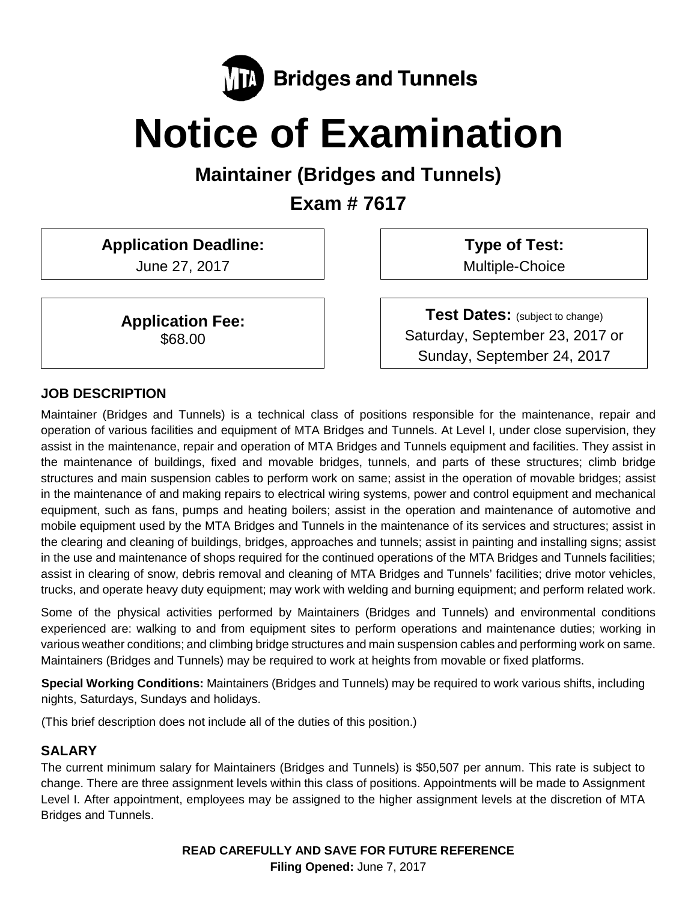

# **Notice of Examination**

**Maintainer (Bridges and Tunnels)**

**Exam # 7617**

**Application Deadline:**

June 27, 2017

**Application Fee:** \$68.00

**Type of Test:**  Multiple-Choice

**Test Dates:** (subject to change) Saturday, September 23, 2017 or Sunday, September 24, 2017

# **JOB DESCRIPTION**

Maintainer (Bridges and Tunnels) is a technical class of positions responsible for the maintenance, repair and operation of various facilities and equipment of MTA Bridges and Tunnels. At Level I, under close supervision, they assist in the maintenance, repair and operation of MTA Bridges and Tunnels equipment and facilities. They assist in the maintenance of buildings, fixed and movable bridges, tunnels, and parts of these structures; climb bridge structures and main suspension cables to perform work on same; assist in the operation of movable bridges; assist in the maintenance of and making repairs to electrical wiring systems, power and control equipment and mechanical equipment, such as fans, pumps and heating boilers; assist in the operation and maintenance of automotive and mobile equipment used by the MTA Bridges and Tunnels in the maintenance of its services and structures; assist in the clearing and cleaning of buildings, bridges, approaches and tunnels; assist in painting and installing signs; assist in the use and maintenance of shops required for the continued operations of the MTA Bridges and Tunnels facilities; assist in clearing of snow, debris removal and cleaning of MTA Bridges and Tunnels' facilities; drive motor vehicles, trucks, and operate heavy duty equipment; may work with welding and burning equipment; and perform related work.

Some of the physical activities performed by Maintainers (Bridges and Tunnels) and environmental conditions experienced are: walking to and from equipment sites to perform operations and maintenance duties; working in various weather conditions; and climbing bridge structures and main suspension cables and performing work on same. Maintainers (Bridges and Tunnels) may be required to work at heights from movable or fixed platforms.

**Special Working Conditions:** Maintainers (Bridges and Tunnels) may be required to work various shifts, including nights, Saturdays, Sundays and holidays.

(This brief description does not include all of the duties of this position.)

# **SALARY**

The current minimum salary for Maintainers (Bridges and Tunnels) is \$50,507 per annum. This rate is subject to change. There are three assignment levels within this class of positions. Appointments will be made to Assignment Level I. After appointment, employees may be assigned to the higher assignment levels at the discretion of MTA Bridges and Tunnels.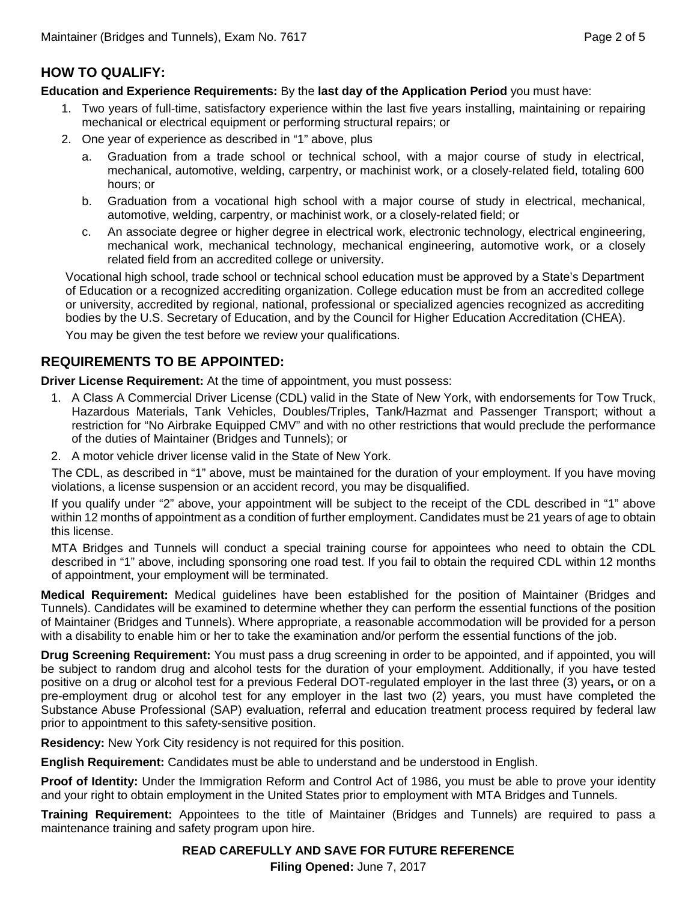## **HOW TO QUALIFY:**

**Education and Experience Requirements:** By the **last day of the Application Period** you must have:

- 1. Two years of full-time, satisfactory experience within the last five years installing, maintaining or repairing mechanical or electrical equipment or performing structural repairs; or
- 2. One year of experience as described in "1" above, plus
	- a. Graduation from a trade school or technical school, with a major course of study in electrical, mechanical, automotive, welding, carpentry, or machinist work, or a closely-related field, totaling 600 hours; or
	- b. Graduation from a vocational high school with a major course of study in electrical, mechanical, automotive, welding, carpentry, or machinist work, or a closely-related field; or
	- c. An associate degree or higher degree in electrical work, electronic technology, electrical engineering, mechanical work, mechanical technology, mechanical engineering, automotive work, or a closely related field from an accredited college or university.

Vocational high school, trade school or technical school education must be approved by a State's Department of Education or a recognized accrediting organization. College education must be from an accredited college or university, accredited by regional, national, professional or specialized agencies recognized as accrediting bodies by the U.S. Secretary of Education, and by the Council for Higher Education Accreditation (CHEA).

You may be given the test before we review your qualifications.

### **REQUIREMENTS TO BE APPOINTED:**

**Driver License Requirement:** At the time of appointment, you must possess:

- 1. A Class A Commercial Driver License (CDL) valid in the State of New York, with endorsements for Tow Truck, Hazardous Materials, Tank Vehicles, Doubles/Triples, Tank/Hazmat and Passenger Transport; without a restriction for "No Airbrake Equipped CMV" and with no other restrictions that would preclude the performance of the duties of Maintainer (Bridges and Tunnels); or
- 2. A motor vehicle driver license valid in the State of New York.

The CDL, as described in "1" above, must be maintained for the duration of your employment. If you have moving violations, a license suspension or an accident record, you may be disqualified.

If you qualify under "2" above, your appointment will be subject to the receipt of the CDL described in "1" above within 12 months of appointment as a condition of further employment. Candidates must be 21 years of age to obtain this license.

MTA Bridges and Tunnels will conduct a special training course for appointees who need to obtain the CDL described in "1" above, including sponsoring one road test. If you fail to obtain the required CDL within 12 months of appointment, your employment will be terminated.

**Medical Requirement:** Medical guidelines have been established for the position of Maintainer (Bridges and Tunnels). Candidates will be examined to determine whether they can perform the essential functions of the position of Maintainer (Bridges and Tunnels). Where appropriate, a reasonable accommodation will be provided for a person with a disability to enable him or her to take the examination and/or perform the essential functions of the job.

**Drug Screening Requirement:** You must pass a drug screening in order to be appointed, and if appointed, you will be subject to random drug and alcohol tests for the duration of your employment. Additionally, if you have tested positive on a drug or alcohol test for a previous Federal DOT-regulated employer in the last three (3) years**,** or on a pre-employment drug or alcohol test for any employer in the last two (2) years, you must have completed the Substance Abuse Professional (SAP) evaluation, referral and education treatment process required by federal law prior to appointment to this safety-sensitive position.

**Residency:** New York City residency is not required for this position.

**English Requirement:** Candidates must be able to understand and be understood in English.

**Proof of Identity:** Under the Immigration Reform and Control Act of 1986, you must be able to prove your identity and your right to obtain employment in the United States prior to employment with MTA Bridges and Tunnels.

**Training Requirement:** Appointees to the title of Maintainer (Bridges and Tunnels) are required to pass a maintenance training and safety program upon hire.

#### **READ CAREFULLY AND SAVE FOR FUTURE REFERENCE**

**Filing Opened:** June 7, 2017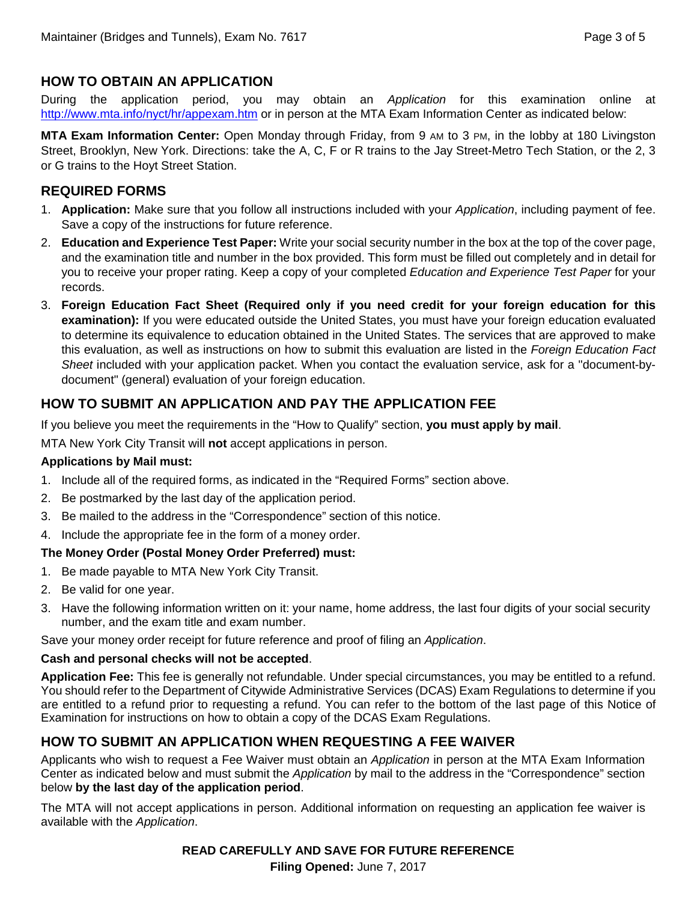## **HOW TO OBTAIN AN APPLICATION**

During the application period, you may obtain an *Application* for this examination online at <http://www.mta.info/nyct/hr/appexam.htm> or in person at the MTA Exam Information Center as indicated below:

**MTA Exam Information Center:** Open Monday through Friday, from 9 AM to 3 PM, in the lobby at 180 Livingston Street, Brooklyn, New York. Directions: take the A, C, F or R trains to the Jay Street-Metro Tech Station, or the 2, 3 or G trains to the Hoyt Street Station.

#### **REQUIRED FORMS**

- 1. **Application:** Make sure that you follow all instructions included with your *Application*, including payment of fee. Save a copy of the instructions for future reference.
- 2. **Education and Experience Test Paper:** Write your social security number in the box at the top of the cover page, and the examination title and number in the box provided. This form must be filled out completely and in detail for you to receive your proper rating. Keep a copy of your completed *Education and Experience Test Paper* for your records.
- 3. **Foreign Education Fact Sheet (Required only if you need credit for your foreign education for this examination):** If you were educated outside the United States, you must have your foreign education evaluated to determine its equivalence to education obtained in the United States. The services that are approved to make this evaluation, as well as instructions on how to submit this evaluation are listed in the *Foreign Education Fact Sheet* included with your application packet. When you contact the evaluation service, ask for a "document-bydocument" (general) evaluation of your foreign education.

# **HOW TO SUBMIT AN APPLICATION AND PAY THE APPLICATION FEE**

If you believe you meet the requirements in the "How to Qualify" section, **you must apply by mail**.

MTA New York City Transit will **not** accept applications in person.

#### **Applications by Mail must:**

- 1. Include all of the required forms, as indicated in the "Required Forms" section above.
- 2. Be postmarked by the last day of the application period.
- 3. Be mailed to the address in the "Correspondence" section of this notice.
- 4. Include the appropriate fee in the form of a money order.

#### **The Money Order (Postal Money Order Preferred) must:**

- 1. Be made payable to MTA New York City Transit.
- 2. Be valid for one year.
- 3. Have the following information written on it: your name, home address, the last four digits of your social security number, and the exam title and exam number.

Save your money order receipt for future reference and proof of filing an *Application*.

#### **Cash and personal checks will not be accepted**.

**Application Fee:** This fee is generally not refundable. Under special circumstances, you may be entitled to a refund. You should refer to the Department of Citywide Administrative Services (DCAS) Exam Regulations to determine if you are entitled to a refund prior to requesting a refund. You can refer to the bottom of the last page of this Notice of Examination for instructions on how to obtain a copy of the DCAS Exam Regulations.

# **HOW TO SUBMIT AN APPLICATION WHEN REQUESTING A FEE WAIVER**

Applicants who wish to request a Fee Waiver must obtain an *Application* in person at the MTA Exam Information Center as indicated below and must submit the *Application* by mail to the address in the "Correspondence" section below **by the last day of the application period**.

The MTA will not accept applications in person. Additional information on requesting an application fee waiver is available with the *Application*.

#### **READ CAREFULLY AND SAVE FOR FUTURE REFERENCE**

**Filing Opened:** June 7, 2017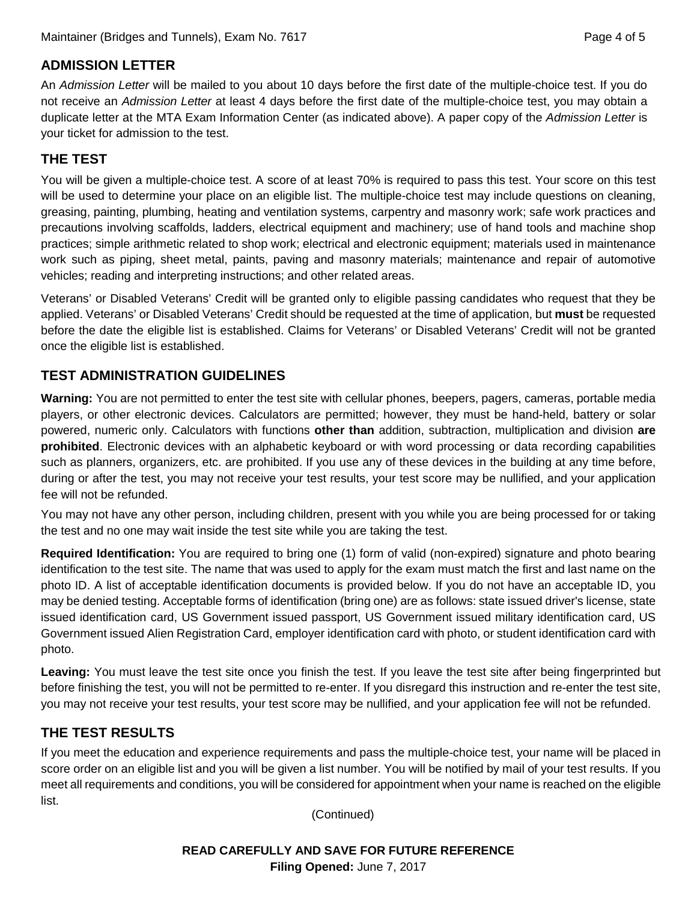# **ADMISSION LETTER**

An *Admission Letter* will be mailed to you about 10 days before the first date of the multiple-choice test. If you do not receive an *Admission Letter* at least 4 days before the first date of the multiple-choice test, you may obtain a duplicate letter at the MTA Exam Information Center (as indicated above). A paper copy of the *Admission Letter* is your ticket for admission to the test.

# **THE TEST**

You will be given a multiple-choice test. A score of at least 70% is required to pass this test. Your score on this test will be used to determine your place on an eligible list. The multiple-choice test may include questions on cleaning, greasing, painting, plumbing, heating and ventilation systems, carpentry and masonry work; safe work practices and precautions involving scaffolds, ladders, electrical equipment and machinery; use of hand tools and machine shop practices; simple arithmetic related to shop work; electrical and electronic equipment; materials used in maintenance work such as piping, sheet metal, paints, paving and masonry materials; maintenance and repair of automotive vehicles; reading and interpreting instructions; and other related areas.

Veterans' or Disabled Veterans' Credit will be granted only to eligible passing candidates who request that they be applied. Veterans' or Disabled Veterans' Credit should be requested at the time of application, but **must** be requested before the date the eligible list is established. Claims for Veterans' or Disabled Veterans' Credit will not be granted once the eligible list is established.

# **TEST ADMINISTRATION GUIDELINES**

**Warning:** You are not permitted to enter the test site with cellular phones, beepers, pagers, cameras, portable media players, or other electronic devices. Calculators are permitted; however, they must be hand-held, battery or solar powered, numeric only. Calculators with functions **other than** addition, subtraction, multiplication and division **are prohibited**. Electronic devices with an alphabetic keyboard or with word processing or data recording capabilities such as planners, organizers, etc. are prohibited. If you use any of these devices in the building at any time before, during or after the test, you may not receive your test results, your test score may be nullified, and your application fee will not be refunded.

You may not have any other person, including children, present with you while you are being processed for or taking the test and no one may wait inside the test site while you are taking the test.

**Required Identification:** You are required to bring one (1) form of valid (non-expired) signature and photo bearing identification to the test site. The name that was used to apply for the exam must match the first and last name on the photo ID. A list of acceptable identification documents is provided below. If you do not have an acceptable ID, you may be denied testing. Acceptable forms of identification (bring one) are as follows: state issued driver's license, state issued identification card, US Government issued passport, US Government issued military identification card, US Government issued Alien Registration Card, employer identification card with photo, or student identification card with photo.

**Leaving:** You must leave the test site once you finish the test. If you leave the test site after being fingerprinted but before finishing the test, you will not be permitted to re-enter. If you disregard this instruction and re-enter the test site, you may not receive your test results, your test score may be nullified, and your application fee will not be refunded.

# **THE TEST RESULTS**

If you meet the education and experience requirements and pass the multiple-choice test, your name will be placed in score order on an eligible list and you will be given a list number. You will be notified by mail of your test results. If you meet all requirements and conditions, you will be considered for appointment when your name is reached on the eligible list.

(Continued)